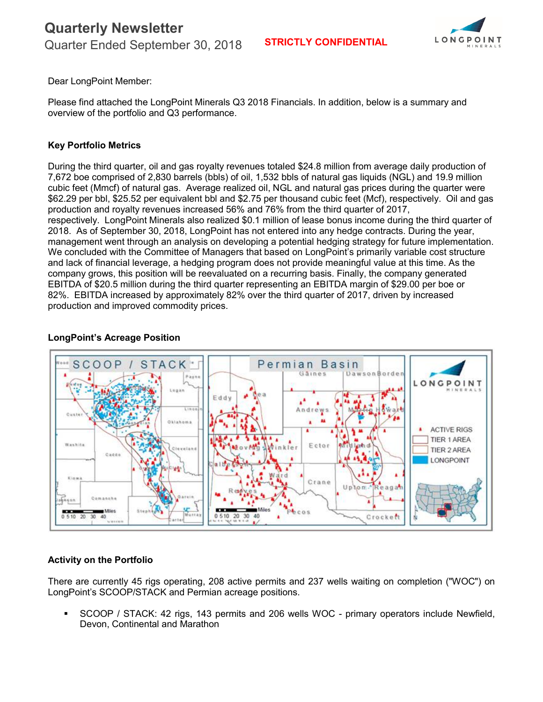

Dear LongPoint Member:

Please find attached the LongPoint Minerals Q3 2018 Financials. In addition, below is a summary and overview of the portfolio and Q3 performance.

#### **Key Portfolio Metrics**

During the third quarter, oil and gas royalty revenues totaled \$24.8 million from average daily production of 7,672 boe comprised of 2,830 barrels (bbls) of oil, 1,532 bbls of natural gas liquids (NGL) and 19.9 million cubic feet (Mmcf) of natural gas. Average realized oil, NGL and natural gas prices during the quarter were \$62.29 per bbl, \$25.52 per equivalent bbl and \$2.75 per thousand cubic feet (Mcf), respectively. Oil and gas production and royalty revenues increased 56% and 76% from the third quarter of 2017, respectively. LongPoint Minerals also realized \$0.1 million of lease bonus income during the third quarter of 2018. As of September 30, 2018, LongPoint has not entered into any hedge contracts. During the year, management went through an analysis on developing a potential hedging strategy for future implementation. We concluded with the Committee of Managers that based on LongPoint's primarily variable cost structure and lack of financial leverage, a hedging program does not provide meaningful value at this time. As the company grows, this position will be reevaluated on a recurring basis. Finally, the company generated EBITDA of \$20.5 million during the third quarter representing an EBITDA margin of \$29.00 per boe or 82%. EBITDA increased by approximately 82% over the third quarter of 2017, driven by increased production and improved commodity prices.

#### **LongPoint's Acreage Position**



#### **Activity on the Portfolio**

There are currently 45 rigs operating, 208 active permits and 237 wells waiting on completion ("WOC") on LongPoint's SCOOP/STACK and Permian acreage positions.

 SCOOP / STACK: 42 rigs, 143 permits and 206 wells WOC - primary operators include Newfield, Devon, Continental and Marathon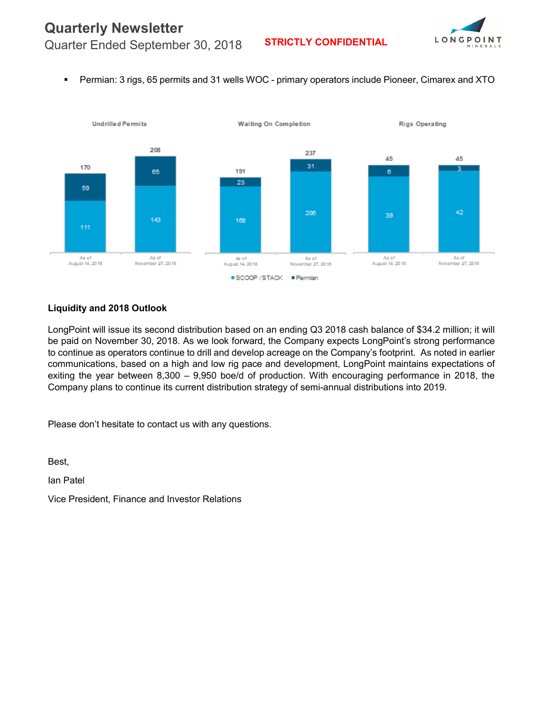## **Quarterly Newsletter**



Quarter Ended September 30, 2018 **STRICTLY CONFIDENTIAL**

Permian: 3 rigs, 65 permits and 31 wells WOC - primary operators include Pioneer, Cimarex and XTO



#### **Liquidity and 2018 Outlook**

LongPoint will issue its second distribution based on an ending Q3 2018 cash balance of \$34.2 million; it will be paid on November 30, 2018. As we look forward, the Company expects LongPoint's strong performance to continue as operators continue to drill and develop acreage on the Company's footprint. As noted in earlier communications, based on a high and low rig pace and development, LongPoint maintains expectations of exiting the year between 8,300 – 9,950 boe/d of production. With encouraging performance in 2018, the Company plans to continue its current distribution strategy of semi-annual distributions into 2019.

Please don't hesitate to contact us with any questions.

Best,

Ian Patel

Vice President, Finance and Investor Relations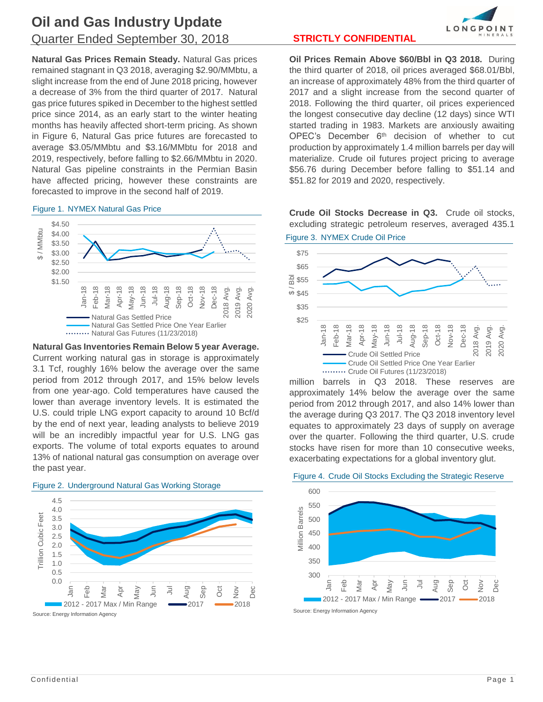**Natural Gas Prices Remain Steady.** Natural Gas prices remained stagnant in Q3 2018, averaging \$2.90/MMbtu, a slight increase from the end of June 2018 pricing, however a decrease of 3% from the third quarter of 2017. Natural gas price futures spiked in December to the highest settled price since 2014, as an early start to the winter heating months has heavily affected short-term pricing. As shown in Figure 6, Natural Gas price futures are forecasted to average \$3.05/MMbtu and \$3.16/MMbtu for 2018 and 2019, respectively, before falling to \$2.66/MMbtu in 2020. Natural Gas pipeline constraints in the Permian Basin have affected pricing, however these constraints are forecasted to improve in the second half of 2019.

#### *Figure 1. NYMEX Natural Gas Price*



**Natural Gas Inventories Remain Below 5 year Average.** Current working natural gas in storage is approximately 3.1 Tcf, roughly 16% below the average over the same period from 2012 through 2017, and 15% below levels from one year-ago. Cold temperatures have caused the lower than average inventory levels. It is estimated the U.S. could triple LNG export capacity to around 10 Bcf/d by the end of next year, leading analysts to believe 2019 will be an incredibly impactful year for U.S. LNG gas exports. The volume of total exports equates to around 13% of national natural gas consumption on average over the past year.



*Figure 2. Underground Natural Gas Working Storage*

**Oil Prices Remain Above \$60/Bbl in Q3 2018.** During the third quarter of 2018, oil prices averaged \$68.01/Bbl, an increase of approximately 48% from the third quarter of 2017 and a slight increase from the second quarter of 2018. Following the third quarter, oil prices experienced the longest consecutive day decline (12 days) since WTI started trading in 1983. Markets are anxiously awaiting OPEC's December 6<sup>th</sup> decision of whether to cut production by approximately 1.4 million barrels per day will materialize. Crude oil futures project pricing to average \$56.76 during December before falling to \$51.14 and \$51.82 for 2019 and 2020, respectively.

**Crude Oil Stocks Decrease in Q3.** Crude oil stocks, excluding strategic petroleum reserves, averaged 435.1 *Figure 3. NYMEX Crude Oil Price*



million barrels in Q3 2018. These reserves are approximately 14% below the average over the same period from 2012 through 2017, and also 14% lower than the average during Q3 2017. The Q3 2018 inventory level equates to approximately 23 days of supply on average over the quarter. Following the third quarter, U.S. crude stocks have risen for more than 10 consecutive weeks, exacerbating expectations for a global inventory glut.

#### *Figure 4. Crude Oil Stocks Excluding the Strategic Reserve*



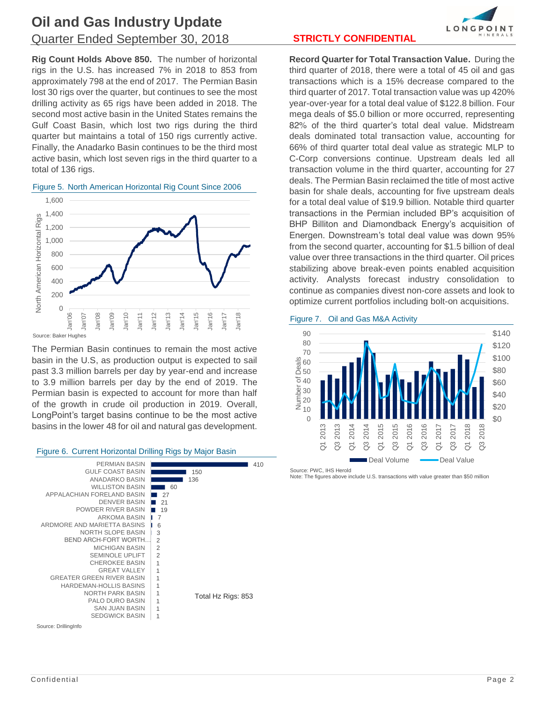## **Oil and Gas Industry Update** Quarter Ended September 30, 2018 **STRICTLY CONFIDENTIAL**

**Rig Count Holds Above 850.** The number of horizontal rigs in the U.S. has increased 7% in 2018 to 853 from approximately 798 at the end of 2017. The Permian Basin lost 30 rigs over the quarter, but continues to see the most drilling activity as 65 rigs have been added in 2018. The second most active basin in the United States remains the Gulf Coast Basin, which lost two rigs during the third quarter but maintains a total of 150 rigs currently active. Finally, the Anadarko Basin continues to be the third most active basin, which lost seven rigs in the third quarter to a total of 136 rigs.



#### *Figure 5. North American Horizontal Rig Count Since 2006*

The Permian Basin continues to remain the most active basin in the U.S, as production output is expected to sail past 3.3 million barrels per day by year-end and increase to 3.9 million barrels per day by the end of 2019. The Permian basin is expected to account for more than half of the growth in crude oil production in 2019. Overall, LongPoint's target basins continue to be the most active basins in the lower 48 for oil and natural gas development.

#### *Figure 6. Current Horizontal Drilling Rigs by Major Basin*



# LONGPOINT

**Record Quarter for Total Transaction Value.** During the third quarter of 2018, there were a total of 45 oil and gas transactions which is a 15% decrease compared to the third quarter of 2017. Total transaction value was up 420% year-over-year for a total deal value of \$122.8 billion. Four mega deals of \$5.0 billion or more occurred, representing 82% of the third quarter's total deal value. Midstream deals dominated total transaction value, accounting for 66% of third quarter total deal value as strategic MLP to C-Corp conversions continue. Upstream deals led all transaction volume in the third quarter, accounting for 27 deals. The Permian Basin reclaimed the title of most active basin for shale deals, accounting for five upstream deals for a total deal value of \$19.9 billion. Notable third quarter transactions in the Permian included BP's acquisition of BHP Billiton and Diamondback Energy's acquisition of Energen. Downstream's total deal value was down 95% from the second quarter, accounting for \$1.5 billion of deal value over three transactions in the third quarter. Oil prices stabilizing above break-even points enabled acquisition activity. Analysts forecast industry consolidation to continue as companies divest non-core assets and look to optimize current portfolios including bolt-on acquisitions.

#### *Figure 7. Oil and Gas M&A Activity*



Source: PWC, IHS Herold

Note: The figures above include U.S. transactions with value greater than \$50 million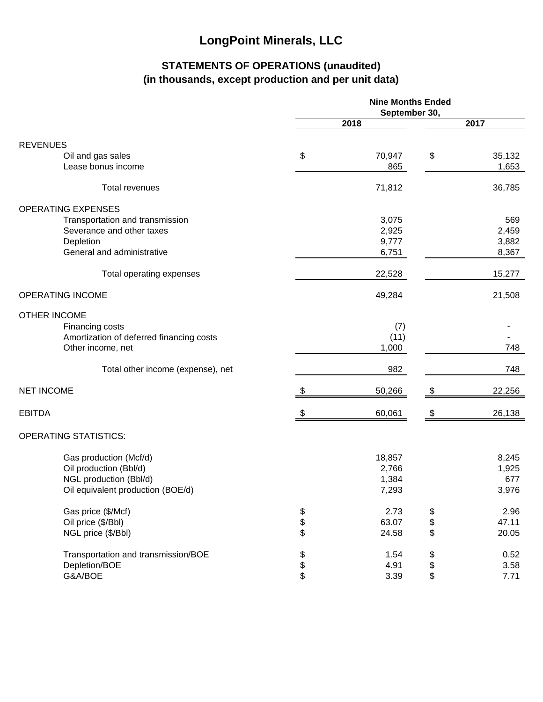## **STATEMENTS OF OPERATIONS (unaudited) (in thousands, except production and per unit data)**

|                                          | <b>Nine Months Ended</b><br>September 30, |        |      |        |  |
|------------------------------------------|-------------------------------------------|--------|------|--------|--|
|                                          | 2018                                      |        | 2017 |        |  |
| <b>REVENUES</b>                          |                                           |        |      |        |  |
| Oil and gas sales                        | \$                                        | 70,947 | \$   | 35,132 |  |
| Lease bonus income                       |                                           | 865    |      | 1,653  |  |
| Total revenues                           |                                           | 71,812 |      | 36,785 |  |
| <b>OPERATING EXPENSES</b>                |                                           |        |      |        |  |
| Transportation and transmission          |                                           | 3,075  |      | 569    |  |
| Severance and other taxes                |                                           | 2,925  |      | 2,459  |  |
| Depletion                                |                                           | 9,777  |      | 3,882  |  |
| General and administrative               |                                           | 6,751  |      | 8,367  |  |
| Total operating expenses                 |                                           | 22,528 |      | 15,277 |  |
| <b>OPERATING INCOME</b>                  |                                           | 49,284 |      | 21,508 |  |
| <b>OTHER INCOME</b>                      |                                           |        |      |        |  |
| Financing costs                          |                                           | (7)    |      |        |  |
| Amortization of deferred financing costs |                                           | (11)   |      |        |  |
| Other income, net                        |                                           | 1,000  |      | 748    |  |
| Total other income (expense), net        |                                           | 982    |      | 748    |  |
| <b>NET INCOME</b>                        | \$                                        | 50,266 | \$   | 22,256 |  |
| <b>EBITDA</b>                            | \$                                        | 60,061 | \$   | 26,138 |  |
| <b>OPERATING STATISTICS:</b>             |                                           |        |      |        |  |
| Gas production (Mcf/d)                   |                                           | 18,857 |      | 8,245  |  |
| Oil production (Bbl/d)                   |                                           | 2,766  |      | 1,925  |  |
| NGL production (Bbl/d)                   |                                           | 1,384  |      | 677    |  |
| Oil equivalent production (BOE/d)        |                                           | 7,293  |      | 3,976  |  |
| Gas price (\$/Mcf)                       |                                           | 2.73   | \$   | 2.96   |  |
| Oil price (\$/Bbl)                       | \$<br>\$                                  | 63.07  | \$   | 47.11  |  |
| NGL price (\$/Bbl)                       |                                           | 24.58  | \$   | 20.05  |  |
| Transportation and transmission/BOE      | \$<br>\$                                  | 1.54   | \$   | 0.52   |  |
| Depletion/BOE                            |                                           | 4.91   | \$   | 3.58   |  |
| G&A/BOE                                  | \$                                        | 3.39   | \$   | 7.71   |  |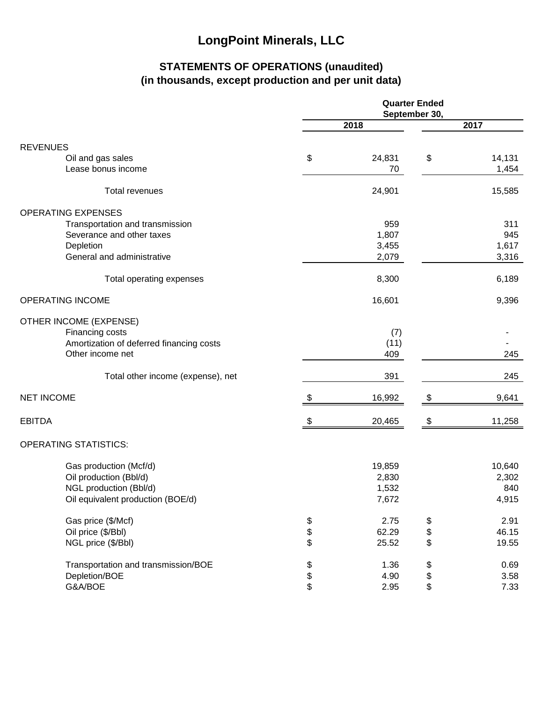## **STATEMENTS OF OPERATIONS (unaudited) (in thousands, except production and per unit data)**

|                                          | <b>Quarter Ended</b><br>September 30, |        |          |        |  |
|------------------------------------------|---------------------------------------|--------|----------|--------|--|
|                                          | 2018                                  |        |          | 2017   |  |
| <b>REVENUES</b>                          |                                       |        |          |        |  |
| Oil and gas sales                        | \$                                    | 24,831 | \$       | 14,131 |  |
| Lease bonus income                       |                                       | 70     |          | 1,454  |  |
| <b>Total revenues</b>                    |                                       | 24,901 |          | 15,585 |  |
| <b>OPERATING EXPENSES</b>                |                                       |        |          |        |  |
| Transportation and transmission          |                                       | 959    |          | 311    |  |
| Severance and other taxes                |                                       | 1,807  |          | 945    |  |
| Depletion                                |                                       | 3,455  |          | 1,617  |  |
| General and administrative               |                                       | 2,079  |          | 3,316  |  |
| Total operating expenses                 |                                       | 8,300  |          | 6,189  |  |
| <b>OPERATING INCOME</b>                  |                                       | 16,601 |          | 9,396  |  |
| OTHER INCOME (EXPENSE)                   |                                       |        |          |        |  |
| Financing costs                          |                                       | (7)    |          |        |  |
| Amortization of deferred financing costs |                                       | (11)   |          |        |  |
| Other income net                         |                                       | 409    |          | 245    |  |
| Total other income (expense), net        |                                       | 391    |          | 245    |  |
| <b>NET INCOME</b>                        | S                                     | 16,992 | \$       | 9,641  |  |
| <b>EBITDA</b>                            | \$                                    | 20,465 | \$       | 11,258 |  |
| <b>OPERATING STATISTICS:</b>             |                                       |        |          |        |  |
| Gas production (Mcf/d)                   |                                       | 19,859 |          | 10,640 |  |
| Oil production (Bbl/d)                   |                                       | 2,830  |          | 2,302  |  |
| NGL production (Bbl/d)                   |                                       | 1,532  |          | 840    |  |
| Oil equivalent production (BOE/d)        |                                       | 7,672  |          | 4,915  |  |
| Gas price (\$/Mcf)                       |                                       | 2.75   |          | 2.91   |  |
| Oil price (\$/Bbl)                       | \$                                    | 62.29  | \$<br>\$ | 46.15  |  |
| NGL price (\$/Bbl)                       | \$                                    | 25.52  | \$       | 19.55  |  |
| Transportation and transmission/BOE      |                                       | 1.36   | \$       | 0.69   |  |
| Depletion/BOE                            | \$\$\$                                | 4.90   | \$       | 3.58   |  |
| G&A/BOE                                  |                                       | 2.95   | \$       | 7.33   |  |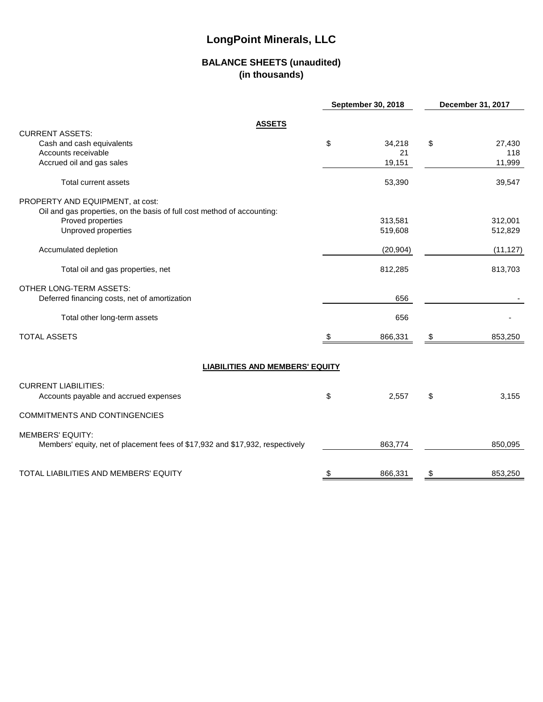#### **BALANCE SHEETS (unaudited) (in thousands)**

|                                                                               |     | <b>September 30, 2018</b> | December 31, 2017 |           |  |
|-------------------------------------------------------------------------------|-----|---------------------------|-------------------|-----------|--|
| <b>ASSETS</b>                                                                 |     |                           |                   |           |  |
| <b>CURRENT ASSETS:</b>                                                        |     |                           |                   |           |  |
| Cash and cash equivalents                                                     | \$  | 34,218                    | \$                | 27,430    |  |
| Accounts receivable                                                           |     | 21                        |                   | 118       |  |
| Accrued oil and gas sales                                                     |     | 19,151                    |                   | 11,999    |  |
| Total current assets                                                          |     | 53,390                    |                   | 39,547    |  |
| PROPERTY AND EQUIPMENT, at cost:                                              |     |                           |                   |           |  |
| Oil and gas properties, on the basis of full cost method of accounting:       |     |                           |                   |           |  |
| Proved properties                                                             |     | 313,581                   |                   | 312,001   |  |
| Unproved properties                                                           |     | 519,608                   |                   | 512,829   |  |
| Accumulated depletion                                                         |     | (20, 904)                 |                   | (11, 127) |  |
| Total oil and gas properties, net                                             |     | 812,285                   |                   | 813,703   |  |
| <b>OTHER LONG-TERM ASSETS:</b>                                                |     |                           |                   |           |  |
| Deferred financing costs, net of amortization                                 |     | 656                       |                   |           |  |
| Total other long-term assets                                                  |     | 656                       |                   |           |  |
| <b>TOTAL ASSETS</b>                                                           | -SS | 866,331                   | \$                | 853,250   |  |
| <b>LIABILITIES AND MEMBERS' EQUITY</b>                                        |     |                           |                   |           |  |
|                                                                               |     |                           |                   |           |  |
| <b>CURRENT LIABILITIES:</b><br>Accounts payable and accrued expenses          | \$  | 2,557                     | \$                | 3,155     |  |
| <b>COMMITMENTS AND CONTINGENCIES</b>                                          |     |                           |                   |           |  |
| <b>MEMBERS' EQUITY:</b>                                                       |     |                           |                   |           |  |
| Members' equity, net of placement fees of \$17,932 and \$17,932, respectively |     | 863,774                   |                   | 850,095   |  |
| <b>TOTAL LIABILITIES AND MEMBERS' EQUITY</b>                                  | \$  | 866,331                   | \$                | 853,250   |  |
|                                                                               |     |                           |                   |           |  |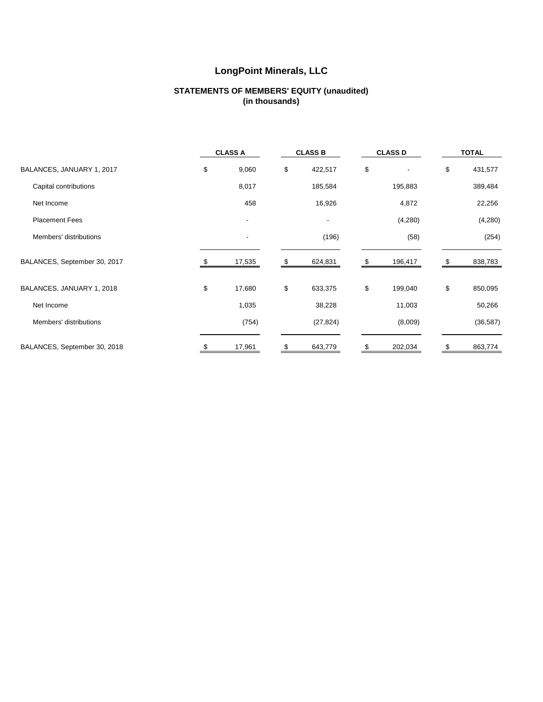#### **STATEMENTS OF MEMBERS' EQUITY (unaudited) (in thousands)**

|                              | <b>CLASS A</b>           |    | <b>CLASS B</b> | <b>CLASS D</b> |    | <b>TOTAL</b> |
|------------------------------|--------------------------|----|----------------|----------------|----|--------------|
| BALANCES, JANUARY 1, 2017    | \$<br>9,060              | \$ | 422,517        | \$             | \$ | 431,577      |
| Capital contributions        | 8,017                    |    | 185,584        | 195,883        |    | 389,484      |
| Net Income                   | 458                      |    | 16,926         | 4,872          |    | 22,256       |
| <b>Placement Fees</b>        |                          |    |                | (4,280)        |    | (4,280)      |
| Members' distributions       | $\overline{\phantom{a}}$ |    | (196)          | (58)           |    | (254)        |
| BALANCES, September 30, 2017 | 17,535                   |    | 624,831        | 196,417        | S  | 838,783      |
| BALANCES, JANUARY 1, 2018    | \$<br>17,680             | \$ | 633,375        | \$<br>199,040  | \$ | 850,095      |
| Net Income                   | 1,035                    |    | 38,228         | 11,003         |    | 50,266       |
| Members' distributions       | (754)                    |    | (27, 824)      | (8,009)        |    | (36, 587)    |
| BALANCES, September 30, 2018 | 17,961                   | S  | 643,779        | \$<br>202,034  | \$ | 863,774      |